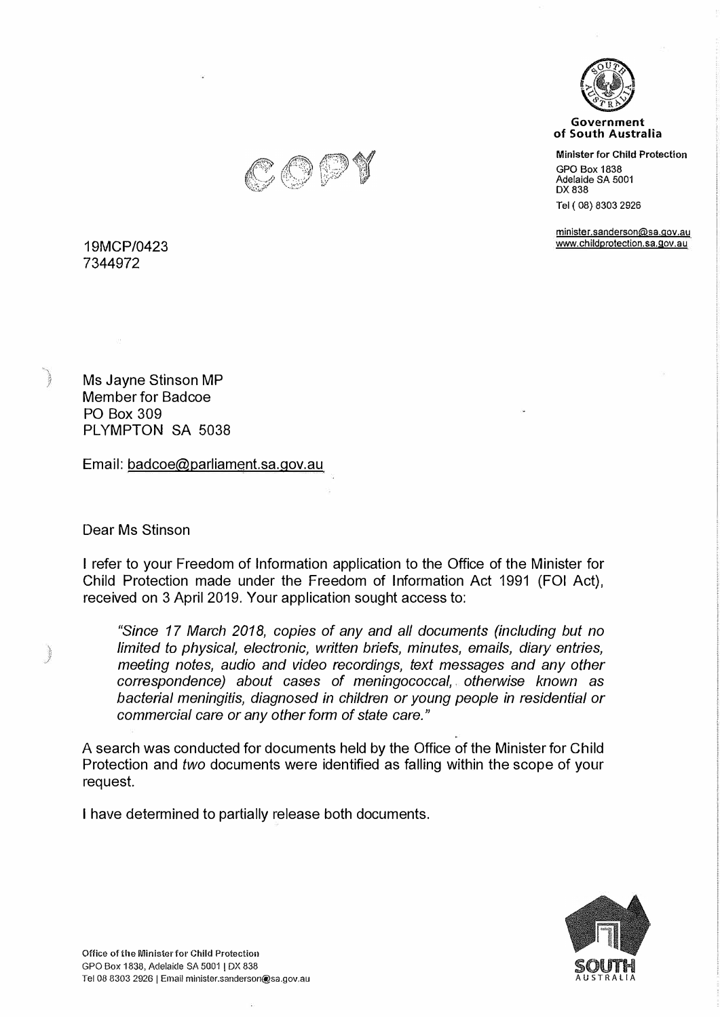



**Minister for Child Protection** 

GPO Box 1838 Adelaide SA 5001 DX 838

Tel ( 08) 8303 2926

min1ster.sanderson@sa.qov.au www.childprotection.sa.gov.au



**19MCP/0423 7344972** 

Ms Jayne Stinson MP Member for Badcoe PO Box 309 PLYMPTON SA 5038

Email: badcoe@parliament.sa.gov.au

Dear Ms Stinson

I refer to your Freedom of Information application to the Office of the Minister for Child Protection made under the Freedom of Information Act 1991 (FOi Act), received on 3 April 2019. Your application sought access to:

*"Since 17 March 2018, copies of any and all documents (including but no limited to physical, electronic, written briefs, minutes, emails, diary entries, meeting notes, audio and video recordings, text messages and any other correspondence) about cases of meningococcal, otherwise known as bacterial meningitis, diagnosed in children or young people in residential or commercial care or any other form of state care."* 

A search was conducted for documents held by the Office of the Minister for Child Protection and *two* documents were identified as falling within the scope of your request.

I have determined to partially release both documents.

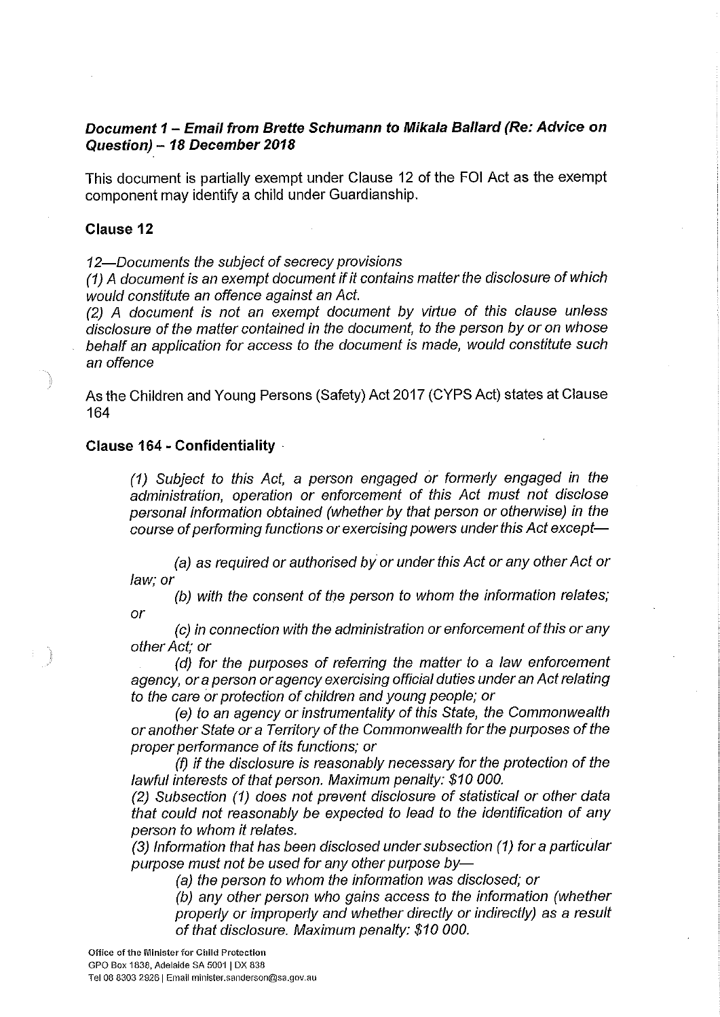# Document 1 - Email from Brette Schumann to Mikala Ballard (Re: Advice on Question) - 18 December 2018

This document is partially exempt under Clause 12 of the FOI Act as the exempt component may identify a child under Guardianship.

## **Clause 12**

12-Documents the subject of secrecy provisions

(1) A document is an exempt document if it contains matter the disclosure of which would constitute an offence against an Act.

(2) A document is not an exempt document by virtue of this clause unless disclosure of the matter contained in the document, to the person by or on whose behalf an application for access to the document is made, would constitute such an offence

As the Children and Young Persons (Safety) Act 2017 (CYPS Act) states at Clause 164

## **Clause 164 - Confidentiality**

(1) Subject to this Act, a person engaged or formerly engaged in the administration, operation or enforcement of this Act must not disclose personal information obtained (whether by that person or otherwise) in the course of performing functions or exercising powers under this Act except-

(a) as required or authorised by or under this Act or any other Act or law: or

(b) with the consent of the person to whom the information relates; or

(c) in connection with the administration or enforcement of this or any other Act; or

(d) for the purposes of referring the matter to a law enforcement agency, or a person or agency exercising official duties under an Act relating to the care or protection of children and young people; or

(e) to an agency or instrumentality of this State, the Commonwealth or another State or a Territory of the Commonwealth for the purposes of the proper performance of its functions; or

(f) if the disclosure is reasonably necessary for the protection of the lawful interests of that person. Maximum penalty: \$10 000.

(2) Subsection (1) does not prevent disclosure of statistical or other data that could not reasonably be expected to lead to the identification of any person to whom it relates.

(3) Information that has been disclosed under subsection (1) for a particular purpose must not be used for any other purpose by-

(a) the person to whom the information was disclosed; or

(b) any other person who gains access to the information (whether properly or improperly and whether directly or indirectly) as a result of that disclosure. Maximum penalty: \$10 000.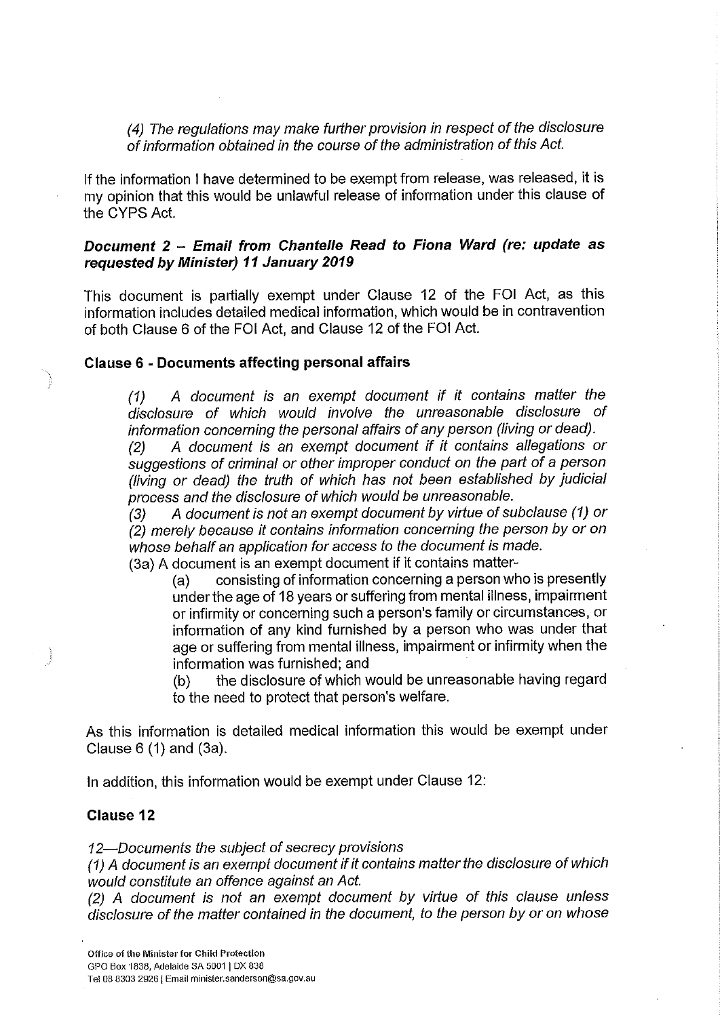(4) The regulations may make further provision in respect of the disclosure of information obtained in the course of the administration of this Act.

If the information I have determined to be exempt from release, was released, it is my opinion that this would be unlawful release of information under this clause of the CYPS Act.

# Document 2 - Email from Chantelle Read to Fiona Ward (re: update as requested by Minister) 11 January 2019

This document is partially exempt under Clause 12 of the FOI Act, as this information includes detailed medical information, which would be in contravention of both Clause 6 of the FOI Act, and Clause 12 of the FOI Act.

## **Clause 6 - Documents affecting personal affairs**

A document is an exempt document if it contains matter the  $(1)$ disclosure of which would involve the unreasonable disclosure of information concerning the personal affairs of any person (living or dead).

A document is an exempt document if it contains allegations or  $(2)$ suggestions of criminal or other improper conduct on the part of a person (living or dead) the truth of which has not been established by judicial process and the disclosure of which would be unreasonable.

A document is not an exempt document by virtue of subclause (1) or  $(3)$ (2) merely because it contains information concerning the person by or on whose behalf an application for access to the document is made.

(3a) A document is an exempt document if it contains matter-

consisting of information concerning a person who is presently  $(a)$ under the age of 18 years or suffering from mental illness, impairment or infirmity or concerning such a person's family or circumstances, or information of any kind furnished by a person who was under that age or suffering from mental illness, impairment or infirmity when the information was furnished; and

the disclosure of which would be unreasonable having regard  $(b)$ to the need to protect that person's welfare.

As this information is detailed medical information this would be exempt under Clause  $6(1)$  and  $(3a)$ .

In addition, this information would be exempt under Clause 12:

## **Clause 12**

12—Documents the subject of secrecy provisions

(1) A document is an exempt document if it contains matter the disclosure of which would constitute an offence against an Act.

(2) A document is not an exempt document by virtue of this clause unless disclosure of the matter contained in the document, to the person by or on whose

Tel 08 8303 2926 | Email minister.sanderson@sa.gov.au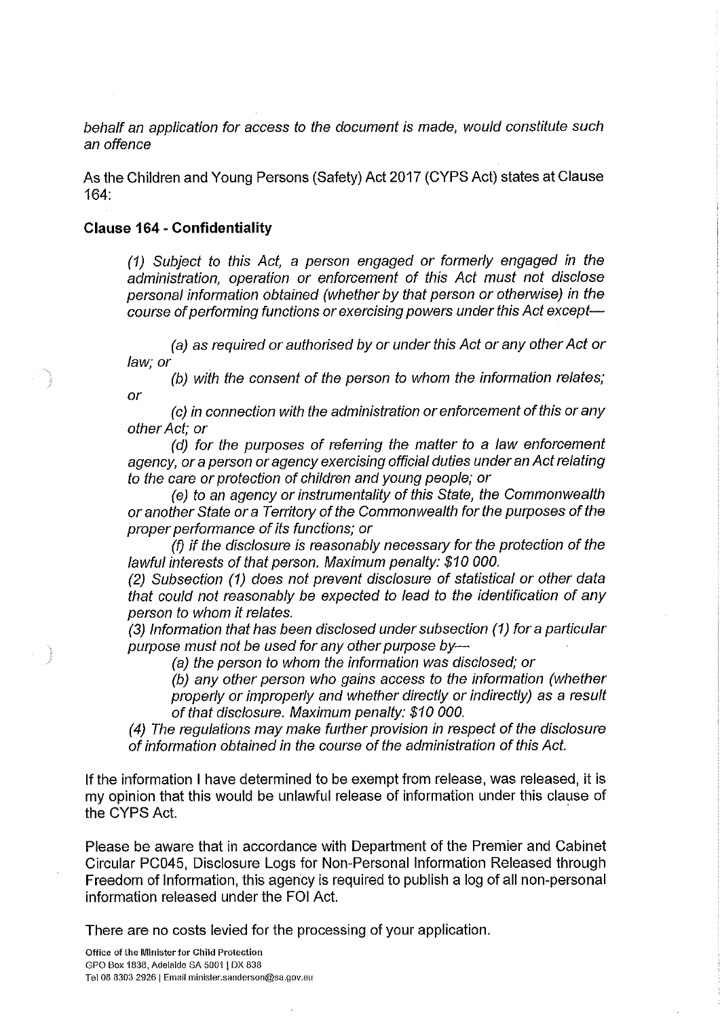behalf an application for access to the document is made, would constitute such an offence

As the Children and Young Persons (Safety) Act 2017 (CYPS Act) states at Clause  $164$ 

### **Clause 164 - Confidentiality**

(1) Subject to this Act, a person engaged or formerly engaged in the administration, operation or enforcement of this Act must not disclose personal information obtained (whether by that person or otherwise) in the course of performing functions or exercising powers under this Act except-

(a) as required or authorised by or under this Act or any other Act or law; or

(b) with the consent of the person to whom the information relates; or

(c) in connection with the administration or enforcement of this or any other Act; or

(d) for the purposes of referring the matter to a law enforcement agency, or a person or agency exercising official duties under an Act relating to the care or protection of children and young people; or

(e) to an agency or instrumentality of this State, the Commonwealth or another State or a Territory of the Commonwealth for the purposes of the proper performance of its functions; or

(f) if the disclosure is reasonably necessary for the protection of the lawful interests of that person. Maximum penalty: \$10 000.

(2) Subsection (1) does not prevent disclosure of statistical or other data that could not reasonably be expected to lead to the identification of any person to whom it relates.

(3) Information that has been disclosed under subsection (1) for a particular purpose must not be used for any other purpose by-

(a) the person to whom the information was disclosed; or

(b) any other person who gains access to the information (whether properly or improperly and whether directly or indirectly) as a result of that disclosure. Maximum penalty: \$10 000.

(4) The regulations may make further provision in respect of the disclosure of information obtained in the course of the administration of this Act.

If the information I have determined to be exempt from release, was released, it is my opinion that this would be unlawful release of information under this clause of the CYPS Act.

Please be aware that in accordance with Department of the Premier and Cabinet Circular PC045, Disclosure Logs for Non-Personal Information Released through Freedom of Information, this agency is required to publish a log of all non-personal information released under the FOI Act.

There are no costs levied for the processing of your application.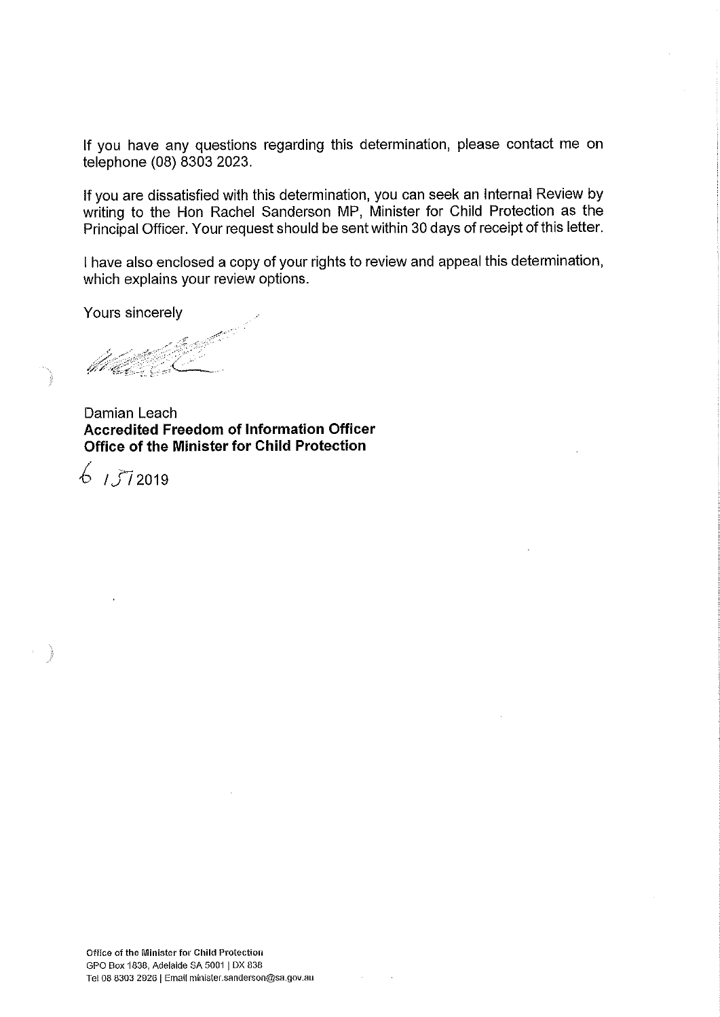If you have any questions regarding this determination, please contact me on telephone (08) 8303 2023.

If you are dissatisfied with this determination, you can seek an Internal Review by writing to the Hon Rachel Sanderson MP, Minister for Child Protection as the Principal Officer. Your request should be sent within 30 days of receipt of this letter.

I have also enclosed a copy of your rights to review and appeal this determination, which explains your review options.

Yours sincerely

Damian Leach **Accredited Freedom of Information Officer** Office of the Minister for Child Protection

 $6,1572019$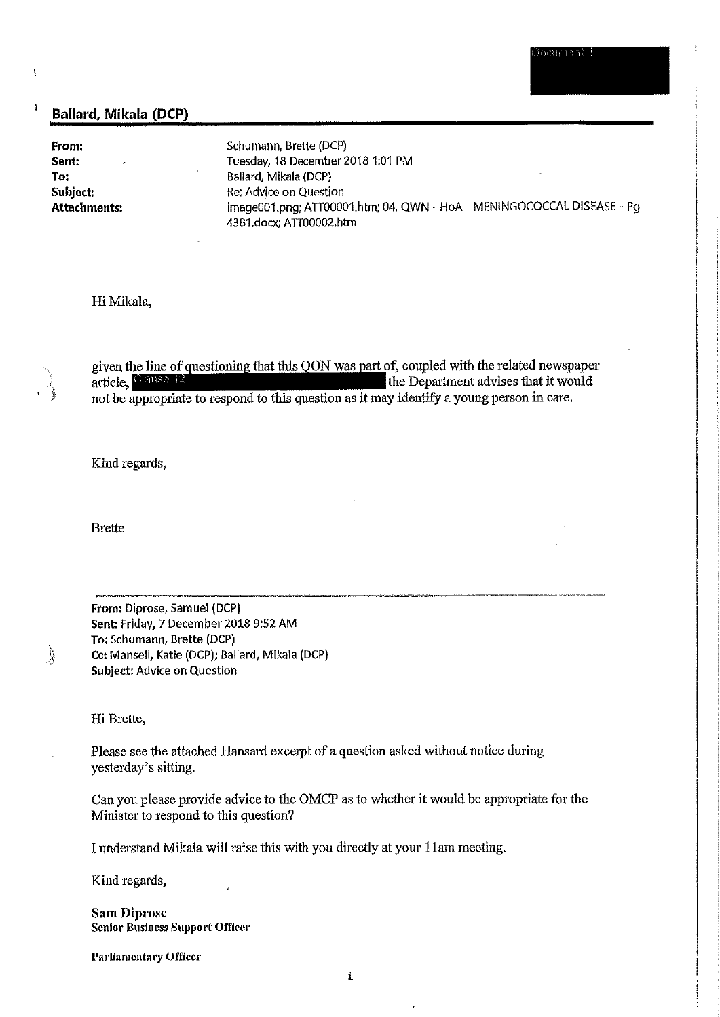### Ballard, Mikala (DCP)

From: Sent: To: Subject: **Attachments:** 

 $\mathfrak{t}$ 

j

Schumann, Brette (DCP) Tuesday, 18 December 2018 1:01 PM Ballard, Mikala (DCP) Re: Advice on Question image001.png; ATT00001.htm; 04. QWN - HoA - MENINGOCOCCAL DISEASE - Pg 4381.docx; ATT00002.htm

### Hi Mikala,

given the line of questioning that this QON was part of, coupled with the related newspaper article, Clause 12 the Department advises that it would not be appropriate to respond to this question as it may identify a young person in care.

Kind regards,

**Brette** 

From: Diprose, Samuel (DCP) Sent: Friday, 7 December 2018 9:52 AM To: Schumann, Brette (DCP) Cc: Mansell, Katie (DCP); Ballard, Mikala (DCP) Subject: Advice on Question

#### Hi Brette,

J

Please see the attached Hansard excerpt of a question asked without notice during yesterday's sitting.

Can you please provide advice to the OMCP as to whether it would be appropriate for the Minister to respond to this question?

I understand Mikala will raise this with you directly at your 11am meeting.

Kind regards,

**Sam Diprose** Senior Business Support Officer

Parliamentary Officer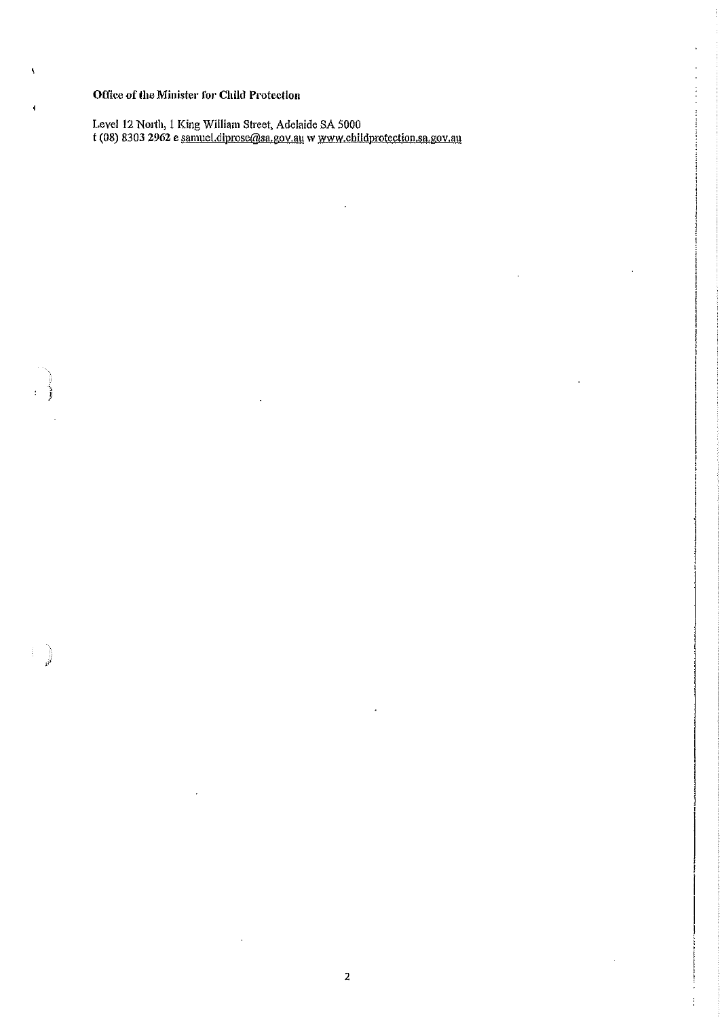## Office of the Minister for Child Protection

 $\bar{\mathbf{q}}$ 

 $\pmb{\mathfrak{t}}$ 

Level 12 North, 1 King William Street, Adelaide SA 5000<br>t (08) 8303 2962 e samuel.diprose@sa.gov.au w www.childprotection.sa.gov.au

 $\ddot{\phantom{0}}$ 

 $\overline{a}$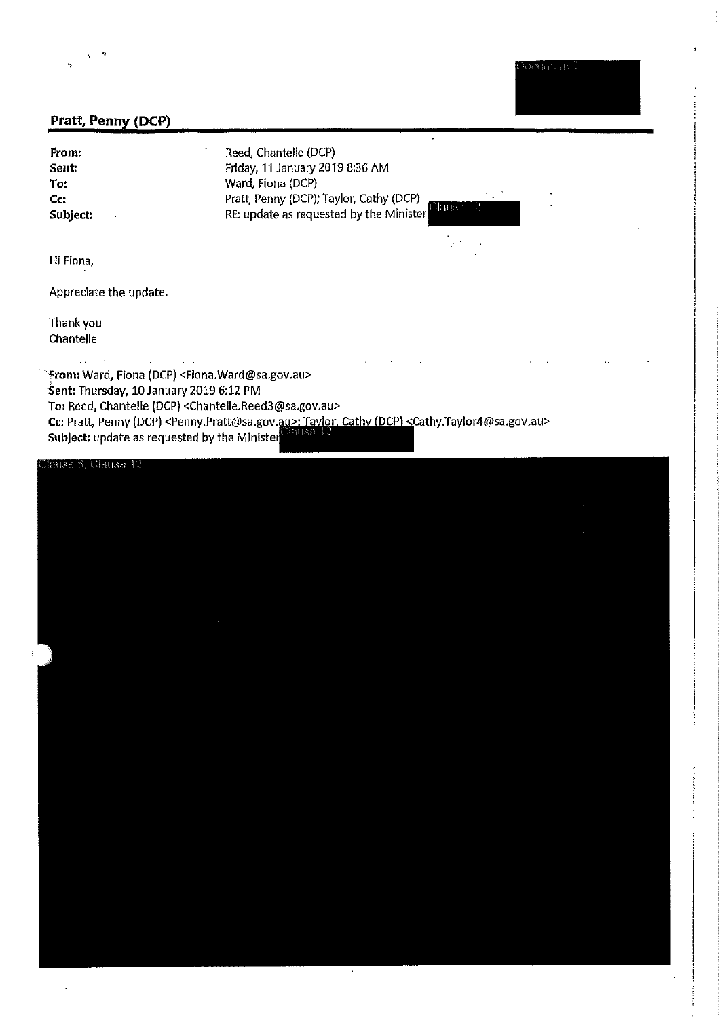ootimant i

# Pratt, Penny (DCP)

From: Sent: To: Cc: Subject:

Reed, Chantelle (DCP) Friday, 11 January 2019 8:36 AM Ward, Flona (DCP) Pratt, Penny (DCP); Taylor, Cathy (DCP) RE: update as requested by the Minister

 $\ddot{\phantom{0}}$ 

 $\sim$  .

0ไลแรล

 $\mathcal{F}^{\mathcal{A}}$ 

Hi Fiona,

Appreciate the update.

 $\mathbf{r}$ 

 $\mathcal{L}^{\text{max}}$ 

Thank you Chantelle

 $\mathbb{R}^3$ 

From: Ward, Flona (DCP) <Flona.Ward@sa.gov.au> Sent: Thursday, 10 January 2019 6:12 PM To: Reed, Chantelle (DCP) <Chantelle.Reed3@sa.gov.au> Cc: Pratt, Penny (DCP) <Penny Pratt@sa.gov.au>; Taylor, Cathy (DCP) <Cathy Taylor4@sa.gov.au><br>Subject: undate as requested by the Minister Sause 12 Subject: update as requested by the Minister

# มีลนลอ 6, Clause 12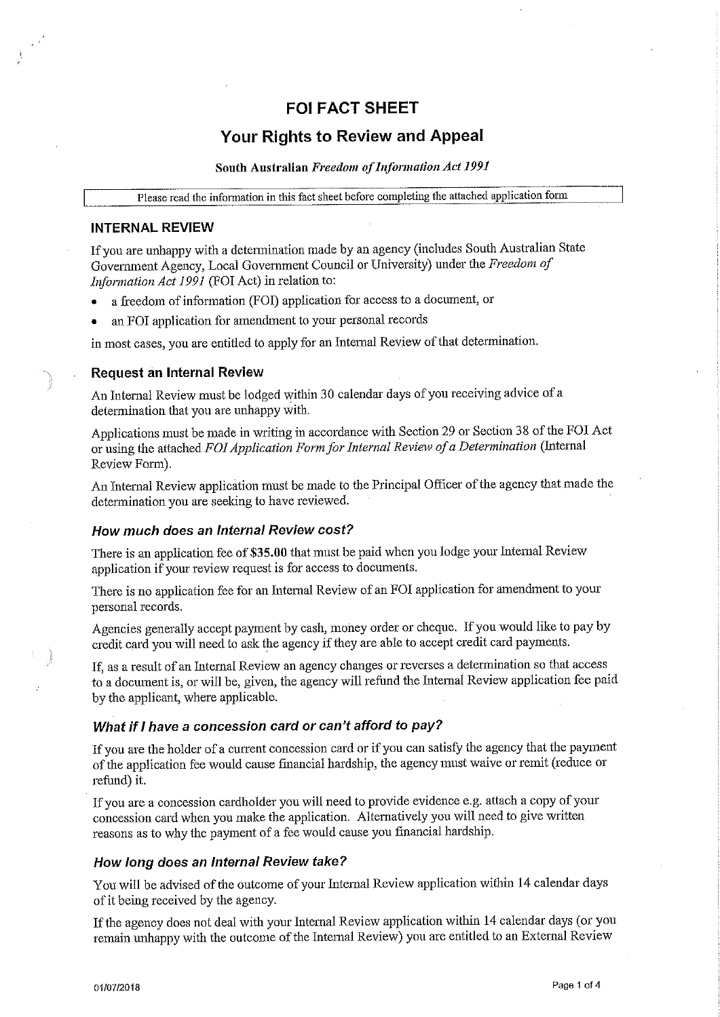# **FOI FACT SHEET**

# **Your Rights to Review and Appeal**

# South Australian Freedom of Information Act 1991

Please read the information in this fact sheet before completing the attached application form

### **INTERNAL REVIEW**

If you are unhappy with a determination made by an agency (includes South Australian State Government Agency, Local Government Council or University) under the Freedom of Information Act 1991 (FOI Act) in relation to:

- a freedom of information (FOI) application for access to a document, or  $\bullet$
- an FOI application for amendment to your personal records

in most cases, you are entitled to apply for an Internal Review of that determination.

### **Request an Internal Review**

An Internal Review must be lodged within 30 calendar days of you receiving advice of a determination that you are unhappy with.

Applications must be made in writing in accordance with Section 29 or Section 38 of the FOI Act or using the attached FOI Application Form for Internal Review of a Determination (Internal Review Form).

An Internal Review application must be made to the Principal Officer of the agency that made the determination you are seeking to have reviewed.

### How much does an Internal Review cost?

There is an application fee of \$35.00 that must be paid when you lodge your Internal Review application if your review request is for access to documents.

There is no application fee for an Internal Review of an FOI application for amendment to your personal records.

Agencies generally accept payment by cash, money order or cheque. If you would like to pay by credit card you will need to ask the agency if they are able to accept credit card payments.

If, as a result of an Internal Review an agency changes or reverses a determination so that access to a document is, or will be, given, the agency will refund the Internal Review application fee paid by the applicant, where applicable.

## What if I have a concession card or can't afford to pay?

If you are the holder of a current concession card or if you can satisfy the agency that the payment of the application fee would cause financial hardship, the agency must waive or remit (reduce or refund) it.

If you are a concession cardholder you will need to provide evidence e.g. attach a copy of your concession card when you make the application. Alternatively you will need to give written reasons as to why the payment of a fee would cause you financial hardship.

### How long does an Internal Review take?

You will be advised of the outcome of your Internal Review application within 14 calendar days of it being received by the agency.

If the agency does not deal with your Internal Review application within 14 calendar days (or you remain unhappy with the outcome of the Internal Review) you are entitled to an External Review